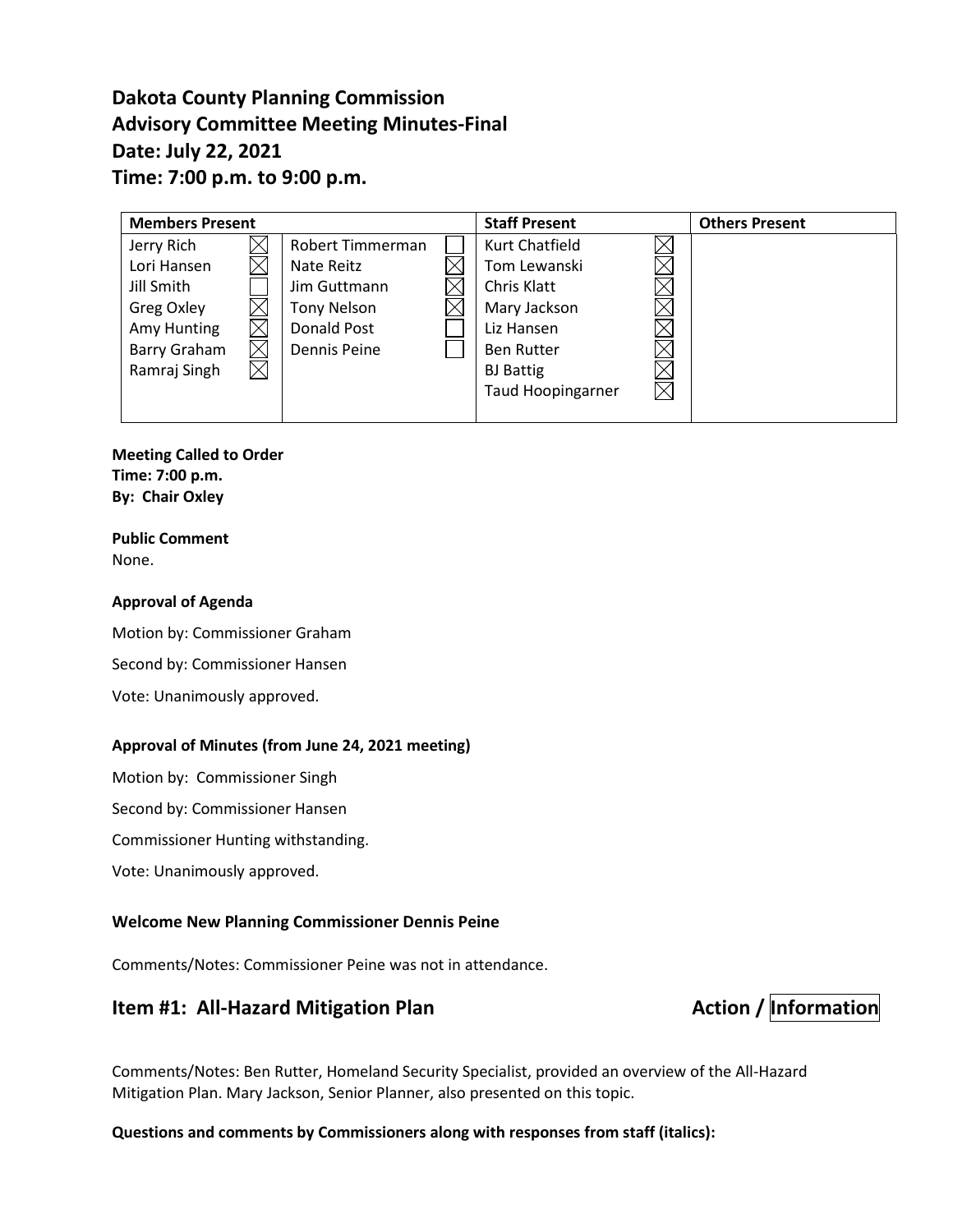# **Dakota County Planning Commission Advisory Committee Meeting Minutes-Final Date: July 22, 2021 Time: 7:00 p.m. to 9:00 p.m.**

| <b>Members Present</b> |  |                    |  | <b>Staff Present</b>     |             | <b>Others Present</b> |
|------------------------|--|--------------------|--|--------------------------|-------------|-----------------------|
| Jerry Rich             |  | Robert Timmerman   |  | Kurt Chatfield           |             |                       |
| Lori Hansen            |  | Nate Reitz         |  | Tom Lewanski             |             |                       |
| Jill Smith             |  | Jim Guttmann       |  | Chris Klatt              |             |                       |
| Greg Oxley             |  | <b>Tony Nelson</b> |  | Mary Jackson             |             |                       |
| Amy Hunting            |  | Donald Post        |  | Liz Hansen               |             |                       |
| Barry Graham           |  | Dennis Peine       |  | <b>Ben Rutter</b>        |             |                       |
| Ramraj Singh           |  |                    |  | <b>BJ</b> Battig         |             |                       |
|                        |  |                    |  | <b>Taud Hoopingarner</b> | $\boxtimes$ |                       |
|                        |  |                    |  |                          |             |                       |

#### **Meeting Called to Order Time: 7:00 p.m.**

**By: Chair Oxley**

#### **Public Comment** None.

### **Approval of Agenda**

Motion by: Commissioner Graham Second by: Commissioner Hansen Vote: Unanimously approved.

### **Approval of Minutes (from June 24, 2021 meeting)**

Motion by: Commissioner Singh

Second by: Commissioner Hansen

Commissioner Hunting withstanding.

Vote: Unanimously approved.

#### **Welcome New Planning Commissioner Dennis Peine**

Comments/Notes: Commissioner Peine was not in attendance.

# **Item #1: All-Hazard Mitigation Plan Action / Information**

Comments/Notes: Ben Rutter, Homeland Security Specialist, provided an overview of the All-Hazard Mitigation Plan. Mary Jackson, Senior Planner, also presented on this topic.

**Questions and comments by Commissioners along with responses from staff (italics):**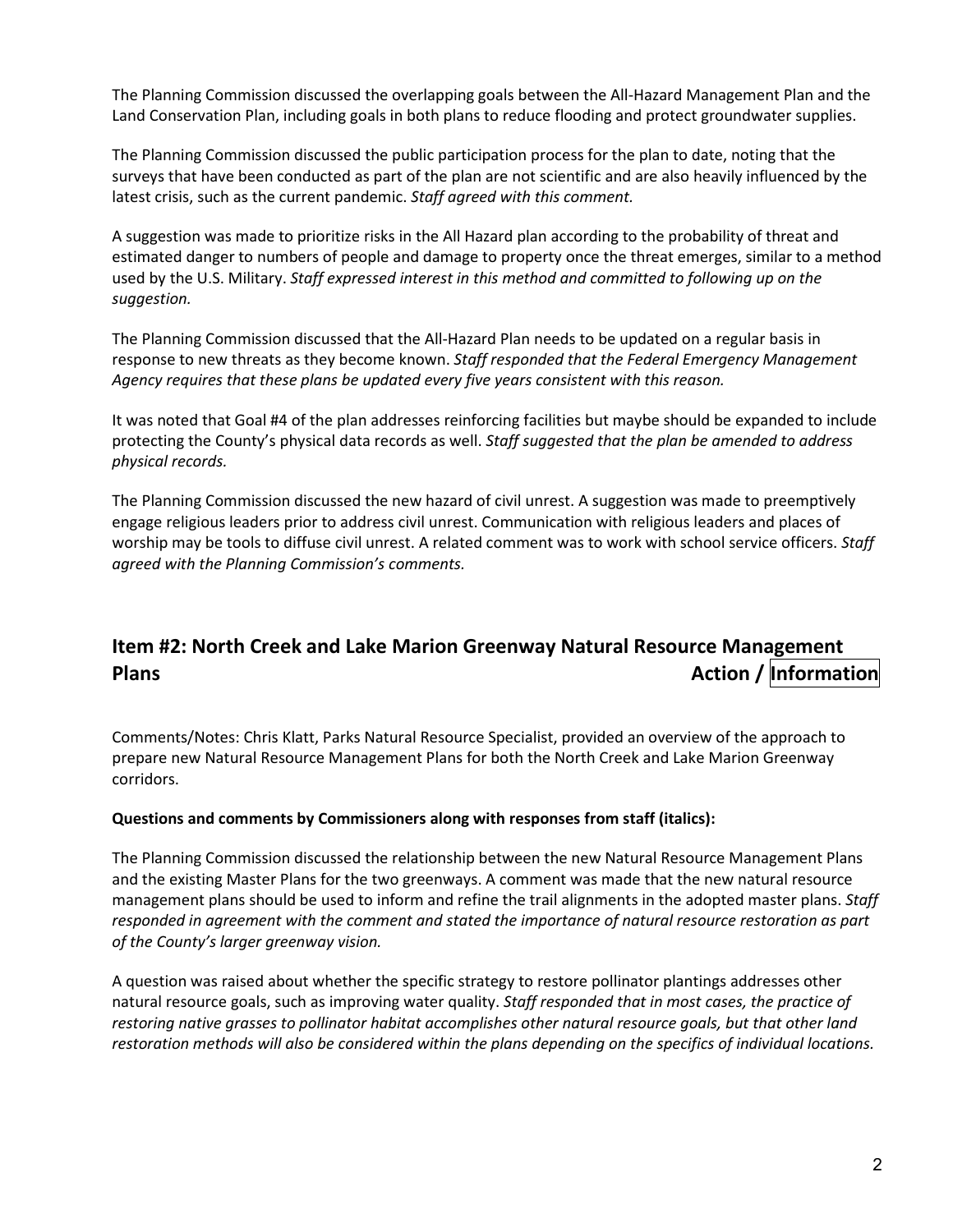The Planning Commission discussed the overlapping goals between the All-Hazard Management Plan and the Land Conservation Plan, including goals in both plans to reduce flooding and protect groundwater supplies.

The Planning Commission discussed the public participation process for the plan to date, noting that the surveys that have been conducted as part of the plan are not scientific and are also heavily influenced by the latest crisis, such as the current pandemic. *Staff agreed with this comment.*

A suggestion was made to prioritize risks in the All Hazard plan according to the probability of threat and estimated danger to numbers of people and damage to property once the threat emerges, similar to a method used by the U.S. Military. *Staff expressed interest in this method and committed to following up on the suggestion.*

The Planning Commission discussed that the All-Hazard Plan needs to be updated on a regular basis in response to new threats as they become known. *Staff responded that the Federal Emergency Management Agency requires that these plans be updated every five years consistent with this reason.*

It was noted that Goal #4 of the plan addresses reinforcing facilities but maybe should be expanded to include protecting the County's physical data records as well. *Staff suggested that the plan be amended to address physical records.*

The Planning Commission discussed the new hazard of civil unrest. A suggestion was made to preemptively engage religious leaders prior to address civil unrest. Communication with religious leaders and places of worship may be tools to diffuse civil unrest. A related comment was to work with school service officers. *Staff agreed with the Planning Commission's comments.*

# **Item #2: North Creek and Lake Marion Greenway Natural Resource Management Plans Plans Plans Plans** *Plans Plans Plans Action / Information*

Comments/Notes: Chris Klatt, Parks Natural Resource Specialist, provided an overview of the approach to prepare new Natural Resource Management Plans for both the North Creek and Lake Marion Greenway corridors.

#### **Questions and comments by Commissioners along with responses from staff (italics):**

The Planning Commission discussed the relationship between the new Natural Resource Management Plans and the existing Master Plans for the two greenways. A comment was made that the new natural resource management plans should be used to inform and refine the trail alignments in the adopted master plans. *Staff responded in agreement with the comment and stated the importance of natural resource restoration as part of the County's larger greenway vision.*

A question was raised about whether the specific strategy to restore pollinator plantings addresses other natural resource goals, such as improving water quality. *Staff responded that in most cases, the practice of restoring native grasses to pollinator habitat accomplishes other natural resource goals, but that other land restoration methods will also be considered within the plans depending on the specifics of individual locations.*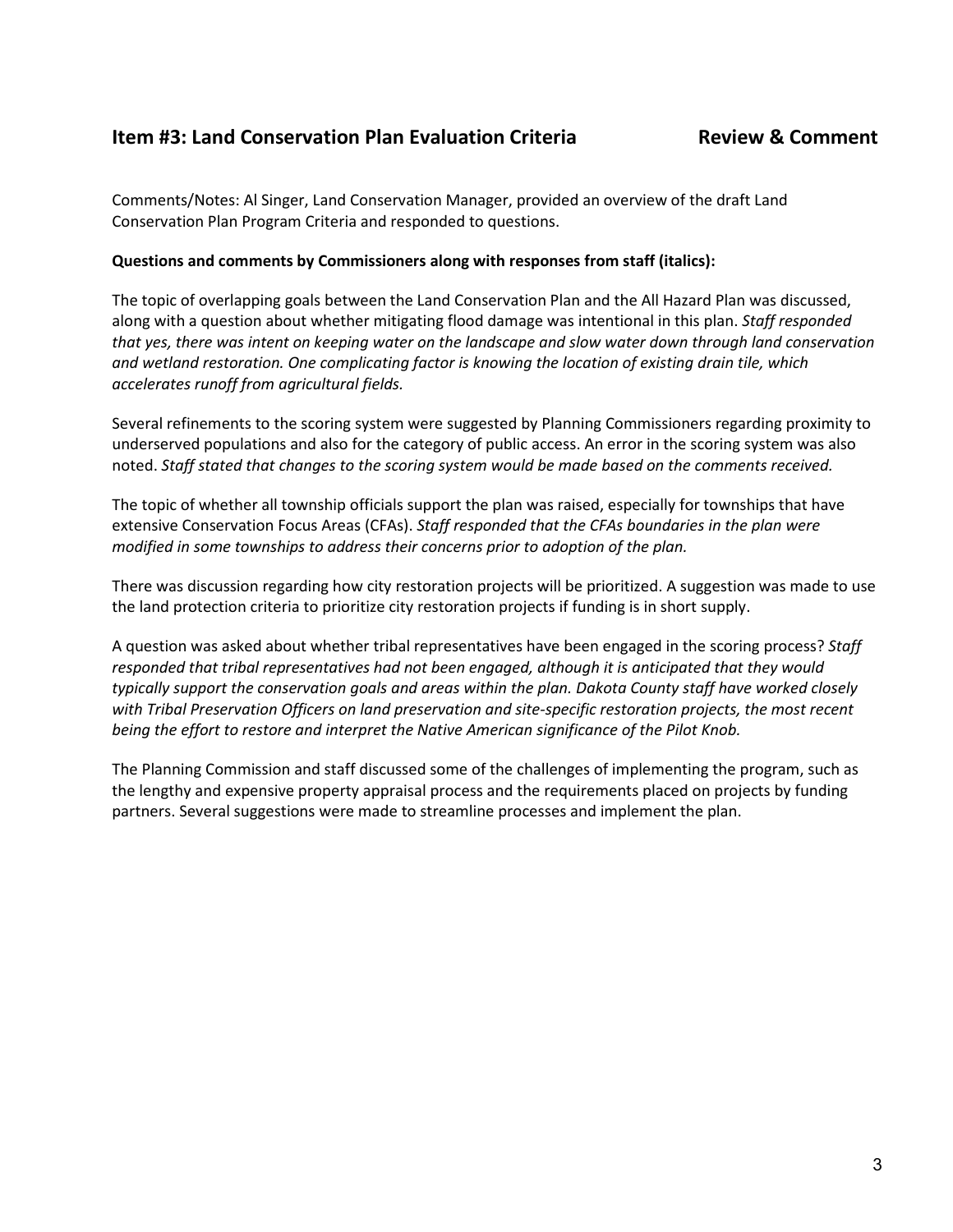## **Item #3: Land Conservation Plan Evaluation Criteria Review & Comment**

Comments/Notes: Al Singer, Land Conservation Manager, provided an overview of the draft Land Conservation Plan Program Criteria and responded to questions.

#### **Questions and comments by Commissioners along with responses from staff (italics):**

The topic of overlapping goals between the Land Conservation Plan and the All Hazard Plan was discussed, along with a question about whether mitigating flood damage was intentional in this plan. *Staff responded that yes, there was intent on keeping water on the landscape and slow water down through land conservation and wetland restoration. One complicating factor is knowing the location of existing drain tile, which accelerates runoff from agricultural fields.*

Several refinements to the scoring system were suggested by Planning Commissioners regarding proximity to underserved populations and also for the category of public access. An error in the scoring system was also noted. *Staff stated that changes to the scoring system would be made based on the comments received.*

The topic of whether all township officials support the plan was raised, especially for townships that have extensive Conservation Focus Areas (CFAs). *Staff responded that the CFAs boundaries in the plan were modified in some townships to address their concerns prior to adoption of the plan.*

There was discussion regarding how city restoration projects will be prioritized. A suggestion was made to use the land protection criteria to prioritize city restoration projects if funding is in short supply.

A question was asked about whether tribal representatives have been engaged in the scoring process? *Staff responded that tribal representatives had not been engaged, although it is anticipated that they would typically support the conservation goals and areas within the plan. Dakota County staff have worked closely with Tribal Preservation Officers on land preservation and site-specific restoration projects, the most recent being the effort to restore and interpret the Native American significance of the Pilot Knob.*

The Planning Commission and staff discussed some of the challenges of implementing the program, such as the lengthy and expensive property appraisal process and the requirements placed on projects by funding partners. Several suggestions were made to streamline processes and implement the plan.